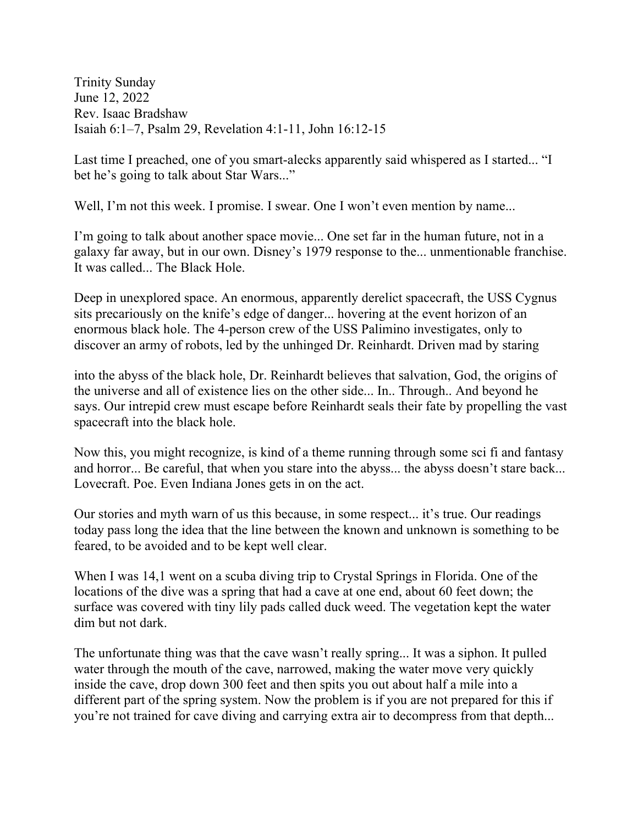Trinity Sunday June 12, 2022 Rev. Isaac Bradshaw Isaiah 6:1–7, Psalm 29, Revelation 4:1-11, John 16:12-15

Last time I preached, one of you smart-alecks apparently said whispered as I started... "I bet he's going to talk about Star Wars..."

Well, I'm not this week. I promise. I swear. One I won't even mention by name...

I'm going to talk about another space movie... One set far in the human future, not in a galaxy far away, but in our own. Disney's 1979 response to the... unmentionable franchise. It was called... The Black Hole.

Deep in unexplored space. An enormous, apparently derelict spacecraft, the USS Cygnus sits precariously on the knife's edge of danger... hovering at the event horizon of an enormous black hole. The 4-person crew of the USS Palimino investigates, only to discover an army of robots, led by the unhinged Dr. Reinhardt. Driven mad by staring

into the abyss of the black hole, Dr. Reinhardt believes that salvation, God, the origins of the universe and all of existence lies on the other side... In.. Through.. And beyond he says. Our intrepid crew must escape before Reinhardt seals their fate by propelling the vast spacecraft into the black hole.

Now this, you might recognize, is kind of a theme running through some sci fi and fantasy and horror... Be careful, that when you stare into the abyss... the abyss doesn't stare back... Lovecraft. Poe. Even Indiana Jones gets in on the act.

Our stories and myth warn of us this because, in some respect... it's true. Our readings today pass long the idea that the line between the known and unknown is something to be feared, to be avoided and to be kept well clear.

When I was 14,1 went on a scuba diving trip to Crystal Springs in Florida. One of the locations of the dive was a spring that had a cave at one end, about 60 feet down; the surface was covered with tiny lily pads called duck weed. The vegetation kept the water dim but not dark.

The unfortunate thing was that the cave wasn't really spring... It was a siphon. It pulled water through the mouth of the cave, narrowed, making the water move very quickly inside the cave, drop down 300 feet and then spits you out about half a mile into a different part of the spring system. Now the problem is if you are not prepared for this if you're not trained for cave diving and carrying extra air to decompress from that depth...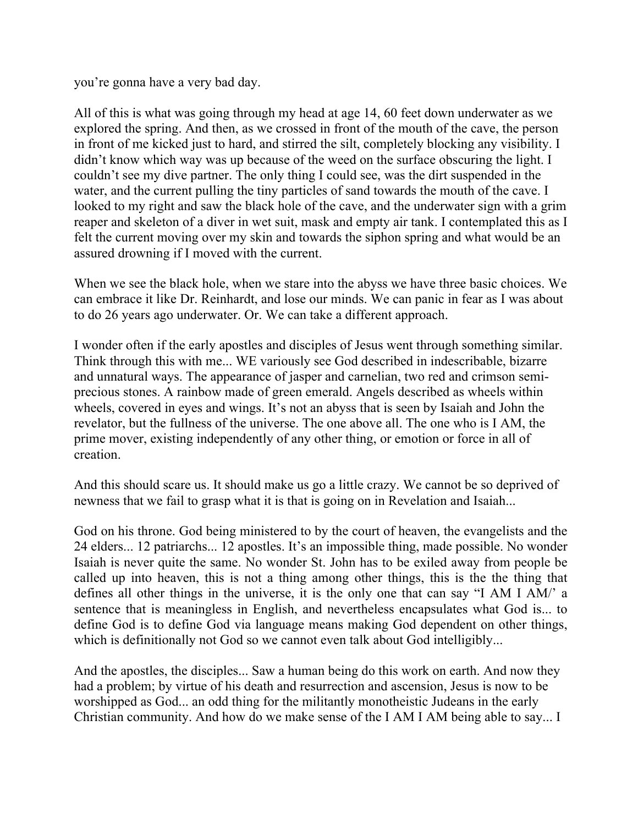you're gonna have a very bad day.

All of this is what was going through my head at age 14, 60 feet down underwater as we explored the spring. And then, as we crossed in front of the mouth of the cave, the person in front of me kicked just to hard, and stirred the silt, completely blocking any visibility. I didn't know which way was up because of the weed on the surface obscuring the light. I couldn't see my dive partner. The only thing I could see, was the dirt suspended in the water, and the current pulling the tiny particles of sand towards the mouth of the cave. I looked to my right and saw the black hole of the cave, and the underwater sign with a grim reaper and skeleton of a diver in wet suit, mask and empty air tank. I contemplated this as I felt the current moving over my skin and towards the siphon spring and what would be an assured drowning if I moved with the current.

When we see the black hole, when we stare into the abyss we have three basic choices. We can embrace it like Dr. Reinhardt, and lose our minds. We can panic in fear as I was about to do 26 years ago underwater. Or. We can take a different approach.

I wonder often if the early apostles and disciples of Jesus went through something similar. Think through this with me... WE variously see God described in indescribable, bizarre and unnatural ways. The appearance of jasper and carnelian, two red and crimson semiprecious stones. A rainbow made of green emerald. Angels described as wheels within wheels, covered in eyes and wings. It's not an abyss that is seen by Isaiah and John the revelator, but the fullness of the universe. The one above all. The one who is I AM, the prime mover, existing independently of any other thing, or emotion or force in all of creation.

And this should scare us. It should make us go a little crazy. We cannot be so deprived of newness that we fail to grasp what it is that is going on in Revelation and Isaiah...

God on his throne. God being ministered to by the court of heaven, the evangelists and the 24 elders... 12 patriarchs... 12 apostles. It's an impossible thing, made possible. No wonder Isaiah is never quite the same. No wonder St. John has to be exiled away from people be called up into heaven, this is not a thing among other things, this is the the thing that defines all other things in the universe, it is the only one that can say "I AM I AM/' a sentence that is meaningless in English, and nevertheless encapsulates what God is... to define God is to define God via language means making God dependent on other things, which is definitionally not God so we cannot even talk about God intelligibly...

And the apostles, the disciples... Saw a human being do this work on earth. And now they had a problem; by virtue of his death and resurrection and ascension, Jesus is now to be worshipped as God... an odd thing for the militantly monotheistic Judeans in the early Christian community. And how do we make sense of the I AM I AM being able to say... I